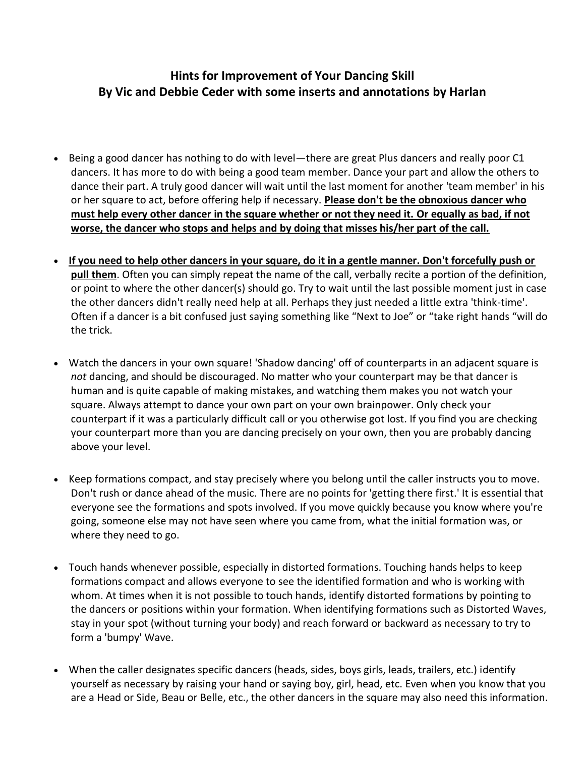## **Hints for Improvement of Your Dancing Skill By Vic and Debbie Ceder with some inserts and annotations by Harlan**

- Being a good dancer has nothing to do with level—there are great Plus dancers and really poor C1 dancers. It has more to do with being a good team member. Dance your part and allow the others to dance their part. A truly good dancer will wait until the last moment for another 'team member' in his or her square to act, before offering help if necessary. **Please don't be the obnoxious dancer who must help every other dancer in the square whether or not they need it. Or equally as bad, if not worse, the dancer who stops and helps and by doing that misses his/her part of the call.**
- **If you need to help other dancers in your square, do it in a gentle manner. Don't forcefully push or pull them**. Often you can simply repeat the name of the call, verbally recite a portion of the definition, or point to where the other dancer(s) should go. Try to wait until the last possible moment just in case the other dancers didn't really need help at all. Perhaps they just needed a little extra 'think-time'. Often if a dancer is a bit confused just saying something like "Next to Joe" or "take right hands "will do the trick.
- Watch the dancers in your own square! 'Shadow dancing' off of counterparts in an adjacent square is *not* dancing, and should be discouraged. No matter who your counterpart may be that dancer is human and is quite capable of making mistakes, and watching them makes you not watch your square. Always attempt to dance your own part on your own brainpower. Only check your counterpart if it was a particularly difficult call or you otherwise got lost. If you find you are checking your counterpart more than you are dancing precisely on your own, then you are probably dancing above your level.
- Keep formations compact, and stay precisely where you belong until the caller instructs you to move. Don't rush or dance ahead of the music. There are no points for 'getting there first.' It is essential that everyone see the formations and spots involved. If you move quickly because you know where you're going, someone else may not have seen where you came from, what the initial formation was, or where they need to go.
- Touch hands whenever possible, especially in distorted formations. Touching hands helps to keep formations compact and allows everyone to see the identified formation and who is working with whom. At times when it is not possible to touch hands, identify distorted formations by pointing to the dancers or positions within your formation. When identifying formations such as Distorted Waves, stay in your spot (without turning your body) and reach forward or backward as necessary to try to form a 'bumpy' Wave.
- When the caller designates specific dancers (heads, sides, boys girls, leads, trailers, etc.) identify yourself as necessary by raising your hand or saying boy, girl, head, etc. Even when you know that you are a Head or Side, Beau or Belle, etc., the other dancers in the square may also need this information.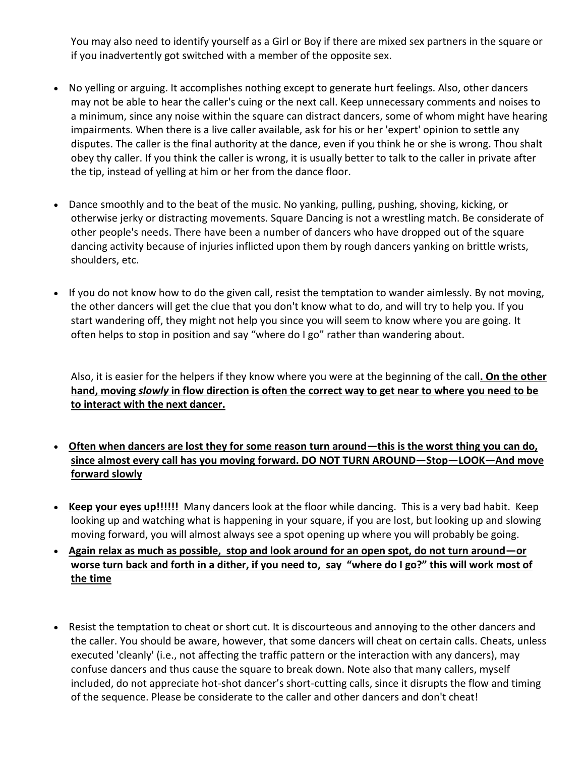You may also need to identify yourself as a Girl or Boy if there are mixed sex partners in the square or if you inadvertently got switched with a member of the opposite sex.

- No yelling or arguing. It accomplishes nothing except to generate hurt feelings. Also, other dancers may not be able to hear the caller's cuing or the next call. Keep unnecessary comments and noises to a minimum, since any noise within the square can distract dancers, some of whom might have hearing impairments. When there is a live caller available, ask for his or her 'expert' opinion to settle any disputes. The caller is the final authority at the dance, even if you think he or she is wrong. Thou shalt obey thy caller. If you think the caller is wrong, it is usually better to talk to the caller in private after the tip, instead of yelling at him or her from the dance floor.
- Dance smoothly and to the beat of the music. No yanking, pulling, pushing, shoving, kicking, or otherwise jerky or distracting movements. Square Dancing is not a wrestling match. Be considerate of other people's needs. There have been a number of dancers who have dropped out of the square dancing activity because of injuries inflicted upon them by rough dancers yanking on brittle wrists, shoulders, etc.
- If you do not know how to do the given call, resist the temptation to wander aimlessly. By not moving, the other dancers will get the clue that you don't know what to do, and will try to help you. If you start wandering off, they might not help you since you will seem to know where you are going. It often helps to stop in position and say "where do I go" rather than wandering about.

Also, it is easier for the helpers if they know where you were at the beginning of the call**. On the other hand, moving** *slowly* **in flow direction is often the correct way to get near to where you need to be to interact with the next dancer.** 

- **Often when dancers are lost they for some reason turn around—this is the worst thing you can do, since almost every call has you moving forward. DO NOT TURN AROUND—Stop—LOOK—And move forward slowly**
- **Keep your eyes up!!!!!!** Many dancers look at the floor while dancing. This is a very bad habit. Keep looking up and watching what is happening in your square, if you are lost, but looking up and slowing moving forward, you will almost always see a spot opening up where you will probably be going.
- **Again relax as much as possible, stop and look around for an open spot, do not turn around—or worse turn back and forth in a dither, if you need to, say "where do I go?" this will work most of the time**
- Resist the temptation to cheat or short cut. It is discourteous and annoying to the other dancers and the caller. You should be aware, however, that some dancers will cheat on certain calls. Cheats, unless executed 'cleanly' (i.e., not affecting the traffic pattern or the interaction with any dancers), may confuse dancers and thus cause the square to break down. Note also that many callers, myself included, do not appreciate hot-shot dancer's short-cutting calls, since it disrupts the flow and timing of the sequence. Please be considerate to the caller and other dancers and don't cheat!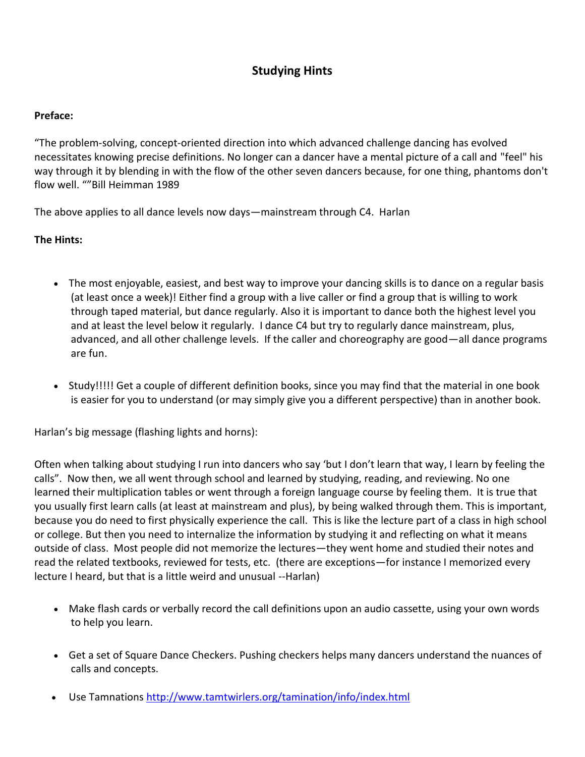## **Studying Hints**

## **Preface:**

"The problem-solving, concept-oriented direction into which advanced challenge dancing has evolved necessitates knowing precise definitions. No longer can a dancer have a mental picture of a call and "feel" his way through it by blending in with the flow of the other seven dancers because, for one thing, phantoms don't flow well. ""Bill Heimman 1989

The above applies to all dance levels now days—mainstream through C4. Harlan

## **The Hints:**

- The most enjoyable, easiest, and best way to improve your dancing skills is to dance on a regular basis (at least once a week)! Either find a group with a live caller or find a group that is willing to work through taped material, but dance regularly. Also it is important to dance both the highest level you and at least the level below it regularly. I dance C4 but try to regularly dance mainstream, plus, advanced, and all other challenge levels. If the caller and choreography are good—all dance programs are fun.
- Study!!!!! Get a couple of different definition books, since you may find that the material in one book is easier for you to understand (or may simply give you a different perspective) than in another book.

Harlan's big message (flashing lights and horns):

Often when talking about studying I run into dancers who say 'but I don't learn that way, I learn by feeling the calls". Now then, we all went through school and learned by studying, reading, and reviewing. No one learned their multiplication tables or went through a foreign language course by feeling them. It is true that you usually first learn calls (at least at mainstream and plus), by being walked through them. This is important, because you do need to first physically experience the call. This is like the lecture part of a class in high school or college. But then you need to internalize the information by studying it and reflecting on what it means outside of class. Most people did not memorize the lectures—they went home and studied their notes and read the related textbooks, reviewed for tests, etc. (there are exceptions—for instance I memorized every lecture I heard, but that is a little weird and unusual --Harlan)

- Make flash cards or verbally record the call definitions upon an audio cassette, using your own words to help you learn.
- Get a set of [Square Dance Checkers.](http://www.ceder.net/choreo/square_dance_checkers.php4) Pushing checkers helps many dancers understand the nuances of calls and concepts.
- Use Tamnations <http://www.tamtwirlers.org/tamination/info/index.html>